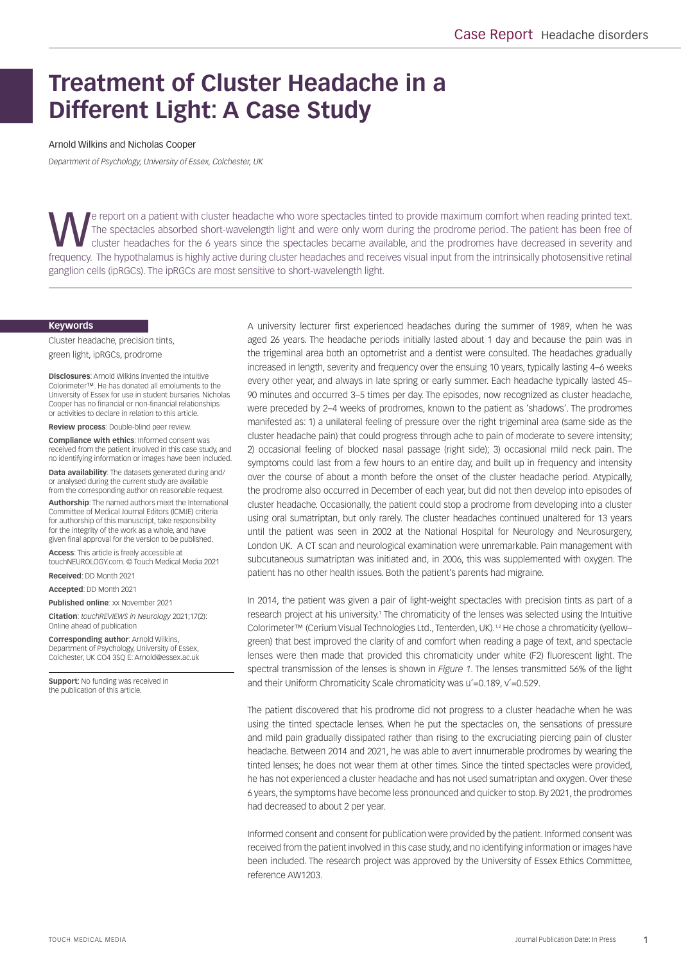# **Treatment of Cluster Headache in a Different Light: A Case Study**

#### Arnold Wilkins and Nicholas Cooper

*Department of Psychology, University of Essex, Colchester, UK*

The spectacles absorbed short-wavelength light and were only worn during the prodrome period. The patient has been free of<br>Cluster headaches for the 6 years since the spectacles became available, and the prodromes have dec The spectacles absorbed short-wavelength light and were only worn during the prodrome period. The patient has been free of frequency. The hypothalamus is highly active during cluster headaches and receives visual input from the intrinsically photosensitive retinal ganglion cells (ipRGCs). The ipRGCs are most sensitive to short-wavelength light.

#### **Keywords**

Cluster headache, precision tints, green light, ipRGCs, prodrome

**Disclosures**: Arnold Wilkins invented the Intuitive Colorimeter™. He has donated all emoluments to the University of Essex for use in student bursaries. Nicholas Cooper has no financial or non-financial relationships or activities to declare in relation to this article.

**Review process**: Double-blind peer review.

**Compliance with ethics**: Informed consent was received from the patient involved in this case study, and no identifying information or images have been included.

**Data availability**: The datasets generated during and/ or analysed during the current study are available from the corresponding author on reasonable request.

**Authorship**: The named authors meet the International Committee of Medical Journal Editors (ICMJE) criteria for authorship of this manuscript, take responsibility for the integrity of the work as a whole, and have given final approval for the version to be published.

**Access**: This article is freely accessible at touchNEUROLOGY.com. © Touch Medical Media 2021

**Received**: DD Month 2021

**Accepted**: DD Month 2021

**Published online**: xx November 2021

**Citation**: *touchREVIEWS in Neurology* 2021;17(2): Online ahead of publication

**Corresponding author**: Arnold Wilkins, Department of Psychology, University of Essex, Colchester, UK CO4 3SQ E: Arnold@essex.ac.uk

**Support**: No funding was received in the publication of this article.

A university lecturer first experienced headaches during the summer of 1989, when he was aged 26 years. The headache periods initially lasted about 1 day and because the pain was in the trigeminal area both an optometrist and a dentist were consulted. The headaches gradually increased in length, severity and frequency over the ensuing 10 years, typically lasting 4–6 weeks every other year, and always in late spring or early summer. Each headache typically lasted 45– 90 minutes and occurred 3–5 times per day. The episodes, now recognized as cluster headache, were preceded by 2–4 weeks of prodromes, known to the patient as 'shadows'. The prodromes manifested as: 1) a unilateral feeling of pressure over the right trigeminal area (same side as the cluster headache pain) that could progress through ache to pain of moderate to severe intensity; 2) occasional feeling of blocked nasal passage (right side); 3) occasional mild neck pain. The symptoms could last from a few hours to an entire day, and built up in frequency and intensity over the course of about a month before the onset of the cluster headache period. Atypically, the prodrome also occurred in December of each year, but did not then develop into episodes of cluster headache. Occasionally, the patient could stop a prodrome from developing into a cluster using oral sumatriptan, but only rarely. The cluster headaches continued unaltered for 13 years until the patient was seen in 2002 at the National Hospital for Neurology and Neurosurgery, London UK. A CT scan and neurological examination were unremarkable. Pain management with subcutaneous sumatriptan was initiated and, in 2006, this was supplemented with oxygen. The patient has no other health issues. Both the patient's parents had migraine.

In 2014, the patient was given a pair of light-weight spectacles with precision tints as part of a research project at his university.<sup>1</sup> The chromaticity of the lenses was selected using the Intuitive Colorimeter™ (Cerium Visual Technologies Ltd., Tenterden, UK).<sup>1,2</sup> He chose a chromaticity (yellow– green) that best improved the clarity of and comfort when reading a page of text, and spectacle lenses were then made that provided this chromaticity under white (F2) fluorescent light. The spectral transmission of the lenses is shown in *Figure 1*. The lenses transmitted 56% of the light and their Uniform Chromaticity Scale chromaticity was u'=0.189, v'=0.529.

The patient discovered that his prodrome did not progress to a cluster headache when he was using the tinted spectacle lenses. When he put the spectacles on, the sensations of pressure and mild pain gradually dissipated rather than rising to the excruciating piercing pain of cluster headache. Between 2014 and 2021, he was able to avert innumerable prodromes by wearing the tinted lenses; he does not wear them at other times. Since the tinted spectacles were provided, he has not experienced a cluster headache and has not used sumatriptan and oxygen. Over these 6 years, the symptoms have become less pronounced and quicker to stop. By 2021, the prodromes had decreased to about 2 per year.

Informed consent and consent for publication were provided by the patient. Informed consent was received from the patient involved in this case study, and no identifying information or images have been included. The research project was approved by the University of Essex Ethics Committee, reference AW1203.